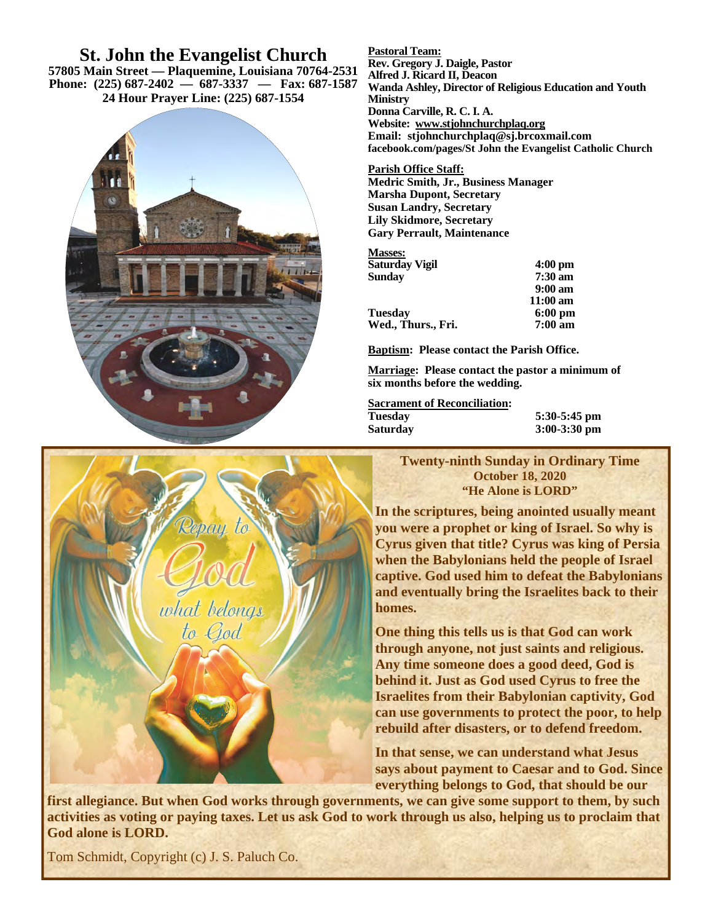# **St. John the Evangelist Church**

**57805 Main Street — Plaquemine, Louisiana 70764-2531 Phone: (225) 687-2402 — 687-3337 — Fax: 687-1587 24 Hour Prayer Line: (225) 687-1554**





**Pastoral Team: Rev. Gregory J. Daigle, Pastor Alfred J. Ricard II, Deacon Wanda Ashley, Director of Religious Education and Youth Ministry Donna Carville, R. C. I. A. Website: www.stjohnchurchplaq.org Email: stjohnchurchplaq@sj.brcoxmail.com facebook.com/pages/St John the Evangelist Catholic Church** 

### **Parish Office Staff:**

**Medric Smith, Jr., Business Manager Marsha Dupont, Secretary Susan Landry, Secretary Lily Skidmore, Secretary Gary Perrault, Maintenance** 

### **Masses:**

| Saturday Vigil     | $4:00 \text{ pm}$  |
|--------------------|--------------------|
| Sundav             | $7:30 \text{ am}$  |
|                    | $9:00 \text{ am}$  |
|                    | $11:00 \text{ am}$ |
| Tuesdav            | $6:00 \text{ pm}$  |
| Wed., Thurs., Fri. | $7:00 \text{ am}$  |
|                    |                    |

**Baptism: Please contact the Parish Office.** 

**Marriage: Please contact the pastor a minimum of six months before the wedding.** 

**Sacrament of Reconciliation: Tuesday 5:30-5:45 pm** 

3:00-3:30 pm

**Twenty-ninth Sunday in Ordinary Time October 18, 2020 "He Alone is LORD"** 

**In the scriptures, being anointed usually meant you were a prophet or king of Israel. So why is Cyrus given that title? Cyrus was king of Persia when the Babylonians held the people of Israel captive. God used him to defeat the Babylonians and eventually bring the Israelites back to their homes.** 

**One thing this tells us is that God can work through anyone, not just saints and religious. Any time someone does a good deed, God is behind it. Just as God used Cyrus to free the Israelites from their Babylonian captivity, God can use governments to protect the poor, to help rebuild after disasters, or to defend freedom.** 

**In that sense, we can understand what Jesus says about payment to Caesar and to God. Since everything belongs to God, that should be our** 

**first allegiance. But when God works through governments, we can give some support to them, by such activities as voting or paying taxes. Let us ask God to work through us also, helping us to proclaim that God alone is LORD.** 

Tom Schmidt, Copyright (c) J. S. Paluch Co.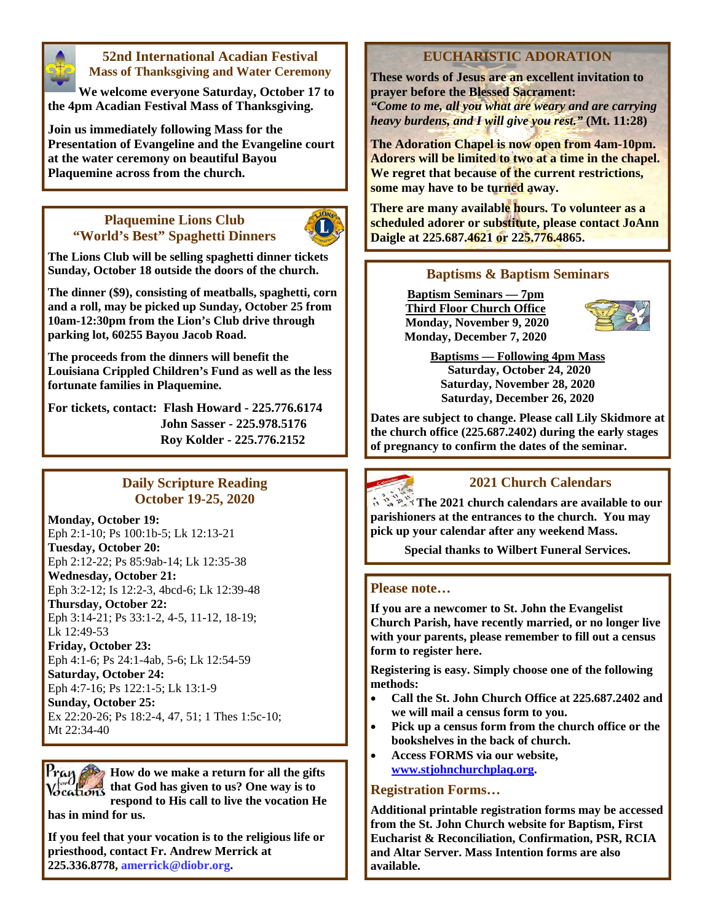

## **52nd International Acadian Festival Mass of Thanksgiving and Water Ceremony**

**We welcome everyone Saturday, October 17 to the 4pm Acadian Festival Mass of Thanksgiving.** 

**Join us immediately following Mass for the Presentation of Evangeline and the Evangeline court at the water ceremony on beautiful Bayou Plaquemine across from the church.** 

## **Plaquemine Lions Club "World's Best" Spaghetti Dinners**



**The Lions Club will be selling spaghetti dinner tickets Sunday, October 18 outside the doors of the church.** 

**The dinner (\$9), consisting of meatballs, spaghetti, corn and a roll, may be picked up Sunday, October 25 from 10am-12:30pm from the Lion's Club drive through parking lot, 60255 Bayou Jacob Road.** 

**The proceeds from the dinners will benefit the Louisiana Crippled Children's Fund as well as the less fortunate families in Plaquemine.** 

**For tickets, contact: Flash Howard - 225.776.6174 John Sasser - 225.978.5176 Roy Kolder - 225.776.2152**

## **Daily Scripture Reading October 19-25, 2020**

**Monday, October 19:**  Eph 2:1-10; Ps 100:1b-5; Lk 12:13-21 **Tuesday, October 20:**  Eph 2:12-22; Ps 85:9ab-14; Lk 12:35-38 **Wednesday, October 21:**  Eph 3:2-12; Is 12:2-3, 4bcd-6; Lk 12:39-48 **Thursday, October 22:**  Eph 3:14-21; Ps 33:1-2, 4-5, 11-12, 18-19; Lk 12:49-53 **Friday, October 23:**  Eph 4:1-6; Ps 24:1-4ab, 5-6; Lk 12:54-59 **Saturday, October 24:**  Eph 4:7-16; Ps 122:1-5; Lk 13:1-9 **Sunday, October 25:** 

Ex 22:20-26; Ps 18:2-4, 47, 51; 1 Thes 1:5c-10; Mt 22:34-40

**How do we make a return for all the gifts that God has given to us? One way is to respond to His call to live the vocation He has in mind for us.** 

**If you feel that your vocation is to the religious life or priesthood, contact Fr. Andrew Merrick at 225.336.8778, amerrick@diobr.org.** 

# **EUCHARISTIC ADORATION**

**These words of Jesus are an excellent invitation to prayer before the Blessed Sacrament:**  *"Come to me, all you what are weary and are carrying heavy burdens, and I will give you rest."* **(Mt. 11:28)** 

**The Adoration Chapel is now open from 4am-10pm. Adorers will be limited to two at a time in the chapel. We regret that because of the current restrictions, some may have to be turned away.** 

**There are many available hours. To volunteer as a scheduled adorer or substitute, please contact JoAnn Daigle at 225.687.4621 or 225.776.4865.** 

## **Baptisms & Baptism Seminars**

**Baptism Seminars — 7pm Third Floor Church Office Monday, November 9, 2020 Monday, December 7, 2020** 



**Baptisms — Following 4pm Mass Saturday, October 24, 2020 Saturday, November 28, 2020 Saturday, December 26, 2020** 

**Dates are subject to change. Please call Lily Skidmore at the church office (225.687.2402) during the early stages of pregnancy to confirm the dates of the seminar.** 



# **2021 Church Calendars**

**The 2021 church calendars are available to our parishioners at the entrances to the church. You may pick up your calendar after any weekend Mass.** 

**Special thanks to Wilbert Funeral Services.** 

## **Please note…**

**If you are a newcomer to St. John the Evangelist Church Parish, have recently married, or no longer live with your parents, please remember to fill out a census form to register here.** 

**Registering is easy. Simply choose one of the following methods:** 

- **Call the St. John Church Office at 225.687.2402 and we will mail a census form to you.**
- **Pick up a census form from the church office or the bookshelves in the back of church.**
- **Access FORMS via our website, www.stjohnchurchplaq.org.**

## **Registration Forms…**

**Additional printable registration forms may be accessed from the St. John Church website for Baptism, First Eucharist & Reconciliation, Confirmation, PSR, RCIA and Altar Server. Mass Intention forms are also available.**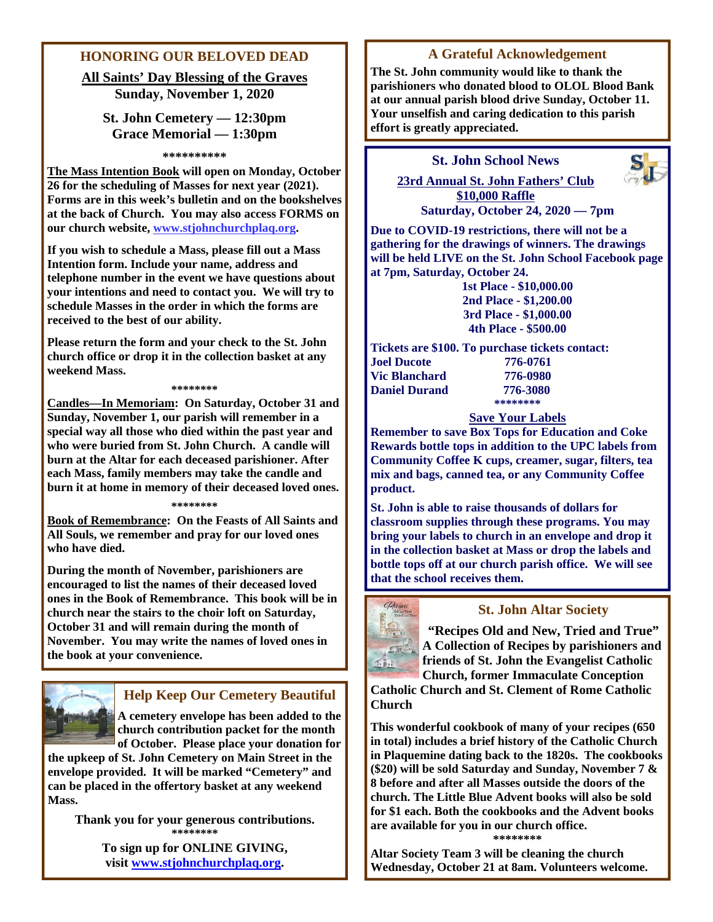## **HONORING OUR BELOVED DEAD**

**All Saints' Day Blessing of the Graves Sunday, November 1, 2020** 

# **St. John Cemetery — 12:30pm Grace Memorial — 1:30pm**

#### **\*\*\*\*\*\*\*\*\*\***

**The Mass Intention Book will open on Monday, October 26 for the scheduling of Masses for next year (2021). Forms are in this week's bulletin and on the bookshelves at the back of Church. You may also access FORMS on our church website, www.stjohnchurchplaq.org.** 

**If you wish to schedule a Mass, please fill out a Mass Intention form. Include your name, address and telephone number in the event we have questions about your intentions and need to contact you. We will try to schedule Masses in the order in which the forms are received to the best of our ability.** 

**Please return the form and your check to the St. John church office or drop it in the collection basket at any weekend Mass.**

#### **\*\*\*\*\*\*\*\***

**Candles—In Memoriam: On Saturday, October 31 and Sunday, November 1, our parish will remember in a special way all those who died within the past year and who were buried from St. John Church. A candle will burn at the Altar for each deceased parishioner. After each Mass, family members may take the candle and burn it at home in memory of their deceased loved ones.** 

#### **\*\*\*\*\*\*\*\***

**Book of Remembrance: On the Feasts of All Saints and All Souls, we remember and pray for our loved ones who have died.** 

**During the month of November, parishioners are encouraged to list the names of their deceased loved ones in the Book of Remembrance. This book will be in church near the stairs to the choir loft on Saturday, October 31 and will remain during the month of November. You may write the names of loved ones in the book at your convenience.** 



# **Help Keep Our Cemetery Beautiful**

**A cemetery envelope has been added to the church contribution packet for the month of October. Please place your donation for** 

**the upkeep of St. John Cemetery on Main Street in the envelope provided. It will be marked "Cemetery" and can be placed in the offertory basket at any weekend Mass.** 

**Thank you for your generous contributions. \*\*\*\*\*\*\*\* To sign up for ONLINE GIVING, visit www.stjohnchurchplaq.org.** 

## **A Grateful Acknowledgement**

**The St. John community would like to thank the parishioners who donated blood to OLOL Blood Bank at our annual parish blood drive Sunday, October 11. Your unselfish and caring dedication to this parish effort is greatly appreciated.** 

## **St. John School News**

**23rd Annual St. John Fathers' Club \$10,000 Raffle Saturday, October 24, 2020 — 7pm**



**Due to COVID-19 restrictions, there will not be a gathering for the drawings of winners. The drawings will be held LIVE on the St. John School Facebook page at 7pm, Saturday, October 24.** 

**1st Place - \$10,000.00 2nd Place - \$1,200.00 3rd Place - \$1,000.00 4th Place - \$500.00** 

**Tickets are \$100. To purchase tickets contact: Joel Ducote 776-0761 Vic Blanchard 776-0980 Daniel Durand 776-3080 \*\*\*\*\*\*\*\*** 

### **Save Your Labels**

**Remember to save Box Tops for Education and Coke Rewards bottle tops in addition to the UPC labels from Community Coffee K cups, creamer, sugar, filters, tea mix and bags, canned tea, or any Community Coffee product.** 

**St. John is able to raise thousands of dollars for classroom supplies through these programs. You may bring your labels to church in an envelope and drop it in the collection basket at Mass or drop the labels and bottle tops off at our church parish office. We will see that the school receives them.** 



## **St. John Altar Society**

**"Recipes Old and New, Tried and True" A Collection of Recipes by parishioners and friends of St. John the Evangelist Catholic Church, former Immaculate Conception** 

**Catholic Church and St. Clement of Rome Catholic Church** 

**This wonderful cookbook of many of your recipes (650 in total) includes a brief history of the Catholic Church in Plaquemine dating back to the 1820s. The cookbooks (\$20) will be sold Saturday and Sunday, November 7 & 8 before and after all Masses outside the doors of the church. The Little Blue Advent books will also be sold for \$1 each. Both the cookbooks and the Advent books are available for you in our church office.** 

**\*\*\*\*\*\*\*\*** 

**Altar Society Team 3 will be cleaning the church Wednesday, October 21 at 8am. Volunteers welcome.**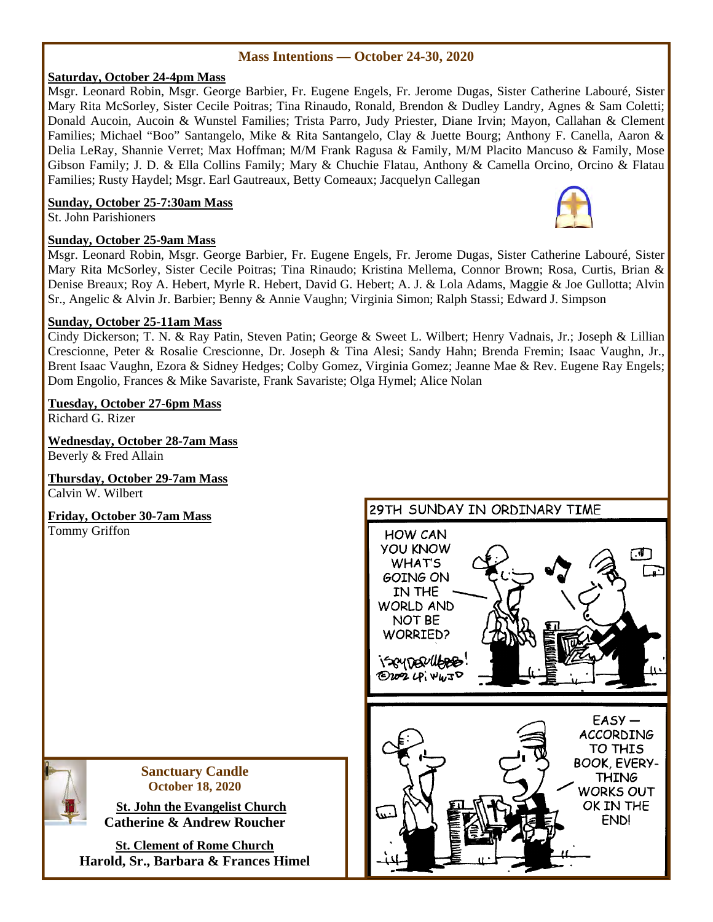## **Mass Intentions — October 24-30, 2020**

## **Saturday, October 24-4pm Mass**

Msgr. Leonard Robin, Msgr. George Barbier, Fr. Eugene Engels, Fr. Jerome Dugas, Sister Catherine Labouré, Sister Mary Rita McSorley, Sister Cecile Poitras; Tina Rinaudo, Ronald, Brendon & Dudley Landry, Agnes & Sam Coletti; Donald Aucoin, Aucoin & Wunstel Families; Trista Parro, Judy Priester, Diane Irvin; Mayon, Callahan & Clement Families; Michael "Boo" Santangelo, Mike & Rita Santangelo, Clay & Juette Bourg; Anthony F. Canella, Aaron & Delia LeRay, Shannie Verret; Max Hoffman; M/M Frank Ragusa & Family, M/M Placito Mancuso & Family, Mose Gibson Family; J. D. & Ella Collins Family; Mary & Chuchie Flatau, Anthony & Camella Orcino, Orcino & Flatau Families; Rusty Haydel; Msgr. Earl Gautreaux, Betty Comeaux; Jacquelyn Callegan

## **Sunday, October 25-7:30am Mass**

St. John Parishioners

## **Sunday, October 25-9am Mass**

Msgr. Leonard Robin, Msgr. George Barbier, Fr. Eugene Engels, Fr. Jerome Dugas, Sister Catherine Labouré, Sister Mary Rita McSorley, Sister Cecile Poitras; Tina Rinaudo; Kristina Mellema, Connor Brown; Rosa, Curtis, Brian & Denise Breaux; Roy A. Hebert, Myrle R. Hebert, David G. Hebert; A. J. & Lola Adams, Maggie & Joe Gullotta; Alvin Sr., Angelic & Alvin Jr. Barbier; Benny & Annie Vaughn; Virginia Simon; Ralph Stassi; Edward J. Simpson

## **Sunday, October 25-11am Mass**

Cindy Dickerson; T. N. & Ray Patin, Steven Patin; George & Sweet L. Wilbert; Henry Vadnais, Jr.; Joseph & Lillian Crescionne, Peter & Rosalie Crescionne, Dr. Joseph & Tina Alesi; Sandy Hahn; Brenda Fremin; Isaac Vaughn, Jr., Brent Isaac Vaughn, Ezora & Sidney Hedges; Colby Gomez, Virginia Gomez; Jeanne Mae & Rev. Eugene Ray Engels; Dom Engolio, Frances & Mike Savariste, Frank Savariste; Olga Hymel; Alice Nolan

## **Tuesday, October 27-6pm Mass**

Richard G. Rizer

**Wednesday, October 28-7am Mass** Beverly & Fred Allain

**Thursday, October 29-7am Mass** Calvin W. Wilbert

**Friday, October 30-7am Mass** Tommy Griffon

## 29TH SUNDAY IN ORDINARY TIME

**Sanctuary Candle October 18, 2020** 

 **St. John the Evangelist Church Catherine & Andrew Roucher** 

**St. Clement of Rome Church Harold, Sr., Barbara & Frances Himel** 



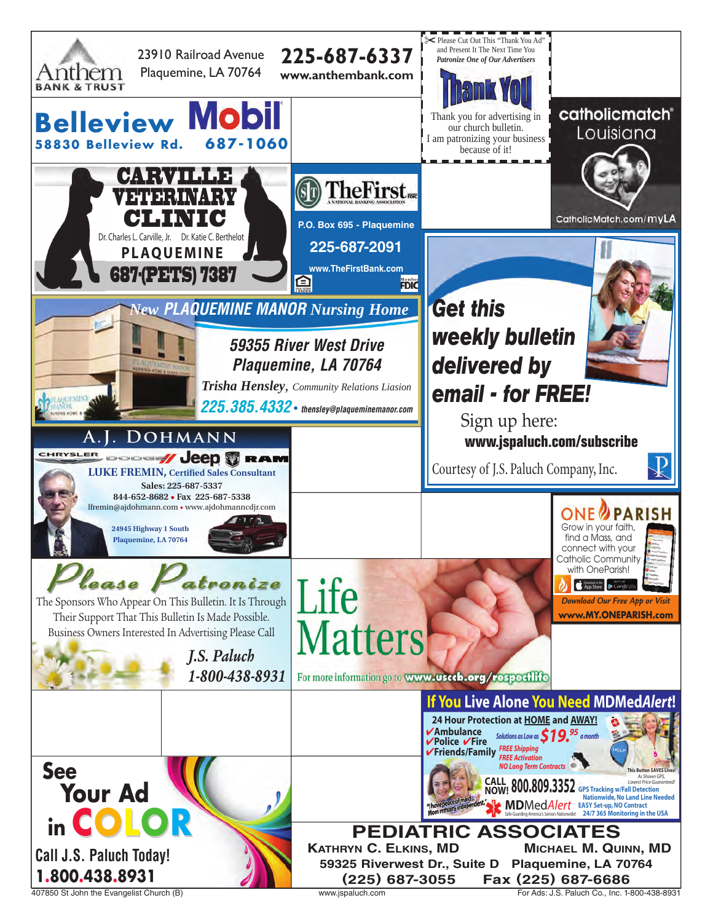